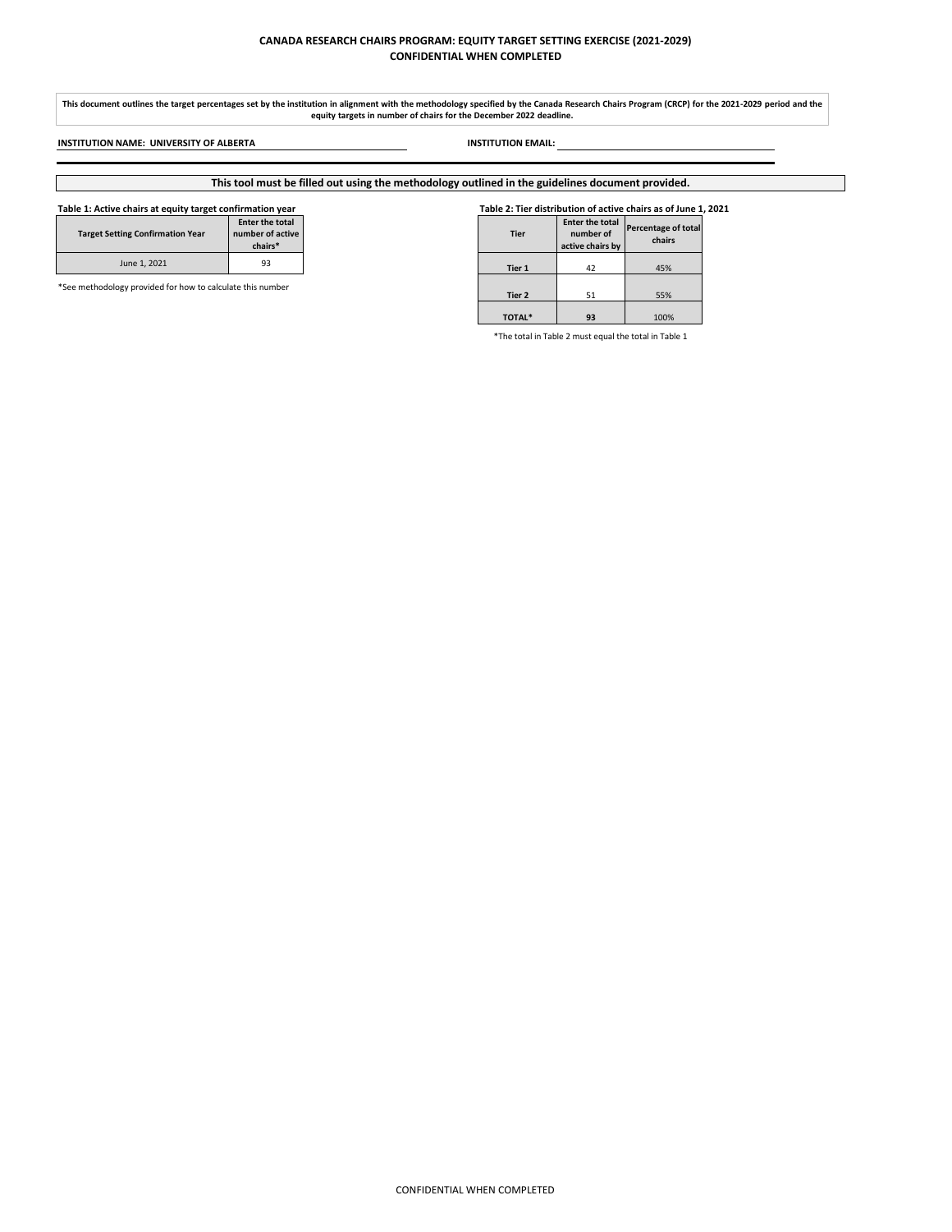## **CANADA RESEARCH CHAIRS PROGRAM: EQUITY TARGET SETTING EXERCISE (2021-2029) CONFIDENTIAL WHEN COMPLETED**

### **Table 1: Active chairs at equity target confirmation year Table 2: Tier distribution of active chairs as of June 1, 2021**

| <b>Target Setting Confirmation Year</b> | <b>Enter the total</b><br>number of active<br>chairs* |
|-----------------------------------------|-------------------------------------------------------|
| June 1, 2021                            | 93                                                    |

| ting Confirmation Year                       | <b>Enter the total</b><br>number of active<br>chairs* | <b>Tier</b>   | Enter the total<br>number of<br>active chairs by | Percentage of total<br>chairs |
|----------------------------------------------|-------------------------------------------------------|---------------|--------------------------------------------------|-------------------------------|
| June 1, 2021                                 | 93                                                    | Tier 1        | 42                                               | 45%                           |
| gy provided for how to calculate this number |                                                       | Tier 2        | 51                                               | 55%                           |
|                                              |                                                       | <b>TOTAL*</b> | 93                                               | 100%                          |

\*The total in Table 2 must equal the total in Table 1

**INSTITUTION NAME: UNIVERSITY OF ALBERTA INSTITUTION EMAIL:**

# **This tool must be filled out using the methodology outlined in the guidelines document provided.**

\*See methodology provided for how to calculate this number

**This document outlines the target percentages set by the institution in alignment with the methodology specified by the Canada Research Chairs Program (CRCP) for the 2021-2029 period and the equity targets in number of chairs for the December 2022 deadline.**

CONFIDENTIAL WHEN COMPLETED